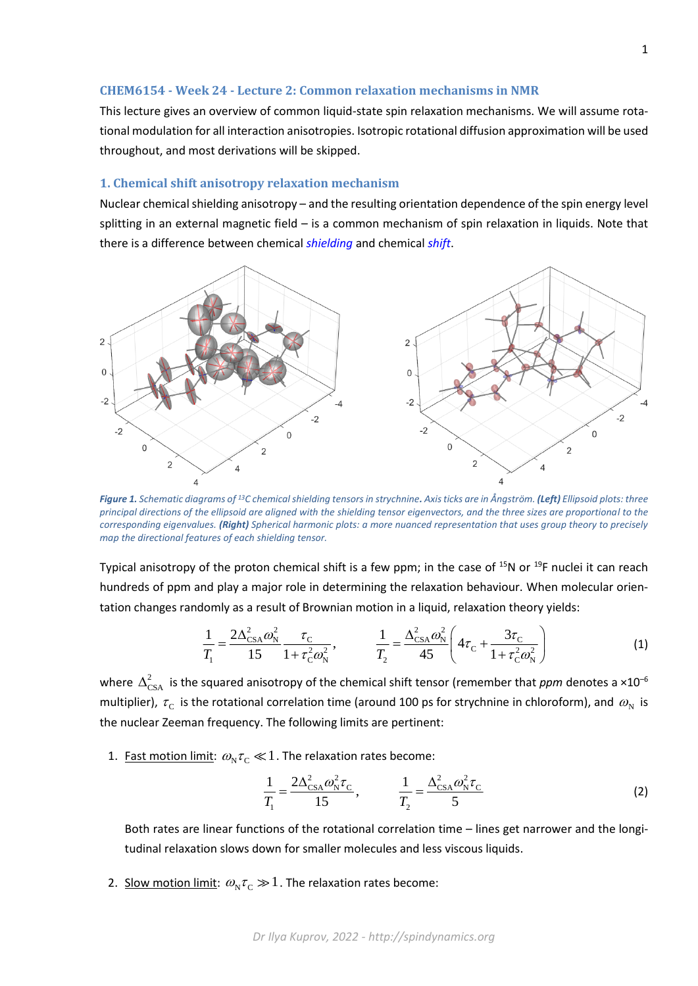## **CHEM6154 - Week 24 - Lecture 2: Common relaxation mechanisms in NMR**

This lecture gives an overview of common liquid-state spin relaxation mechanisms. We will assume rotational modulation for all interaction anisotropies. Isotropic rotational diffusion approximation will be used throughout, and most derivations will be skipped.

## **1. Chemical shift anisotropy relaxation mechanism**

Nuclear chemical shielding anisotropy – and the resulting orientation dependence of the spin energy level splitting in an external magnetic field – is a common mechanism of spin relaxation in liquids. Note that there is a difference between chemical *shielding* and chemical *shift*.



*Figure 1. Schematic diagrams of <sup>13</sup>C chemical shielding tensors in strychnine. Axis ticks are in Ångström. (Left) Ellipsoid plots: three principal directions of the ellipsoid are aligned with the shielding tensor eigenvectors, and the three sizes are proportional to the corresponding eigenvalues. (Right) Spherical harmonic plots: a more nuanced representation that uses group theory to precisely map the directional features of each shielding tensor.*

Typical anisotropy of the proton chemical shift is a few ppm; in the case of <sup>15</sup>N or <sup>19</sup>F nuclei it can reach hundreds of ppm and play a major role in determining the relaxation behaviour. When molecular orientation changes randomly as a result of Brownian motion in a liquid, relaxation theory yields:

$$
\frac{1}{T_1} = \frac{2\Delta_{\rm CSA}^2 \omega_N^2}{15} \frac{\tau_{\rm C}}{1 + \tau_{\rm C}^2 \omega_N^2}, \qquad \frac{1}{T_2} = \frac{\Delta_{\rm CSA}^2 \omega_N^2}{45} \left( 4\tau_{\rm C} + \frac{3\tau_{\rm C}}{1 + \tau_{\rm C}^2 \omega_N^2} \right)
$$
(1)

where  $\Delta_{\text{CSA}}^2$  is the squared anisotropy of the chemical shift tensor (remember that *ppm* denotes a ×10<sup>-6</sup> multiplier),  $\tau_{\rm c}$  is the rotational correlation time (around 100 ps for strychnine in chloroform), and  $\omega_{\rm N}$  is the nuclear Zeeman frequency. The following limits are pertinent:

1. Fast motion limit:  $\omega_{\text{N}}\tau_{\text{C}} \ll 1$  . The relaxation rates become:

$$
\frac{1}{T_1} = \frac{2\Delta_{\text{CSA}}^2 \omega_{\text{N}}^2 \tau_{\text{C}}}{15}, \qquad \frac{1}{T_2} = \frac{\Delta_{\text{CSA}}^2 \omega_{\text{N}}^2 \tau_{\text{C}}}{5}
$$
(2)

Both rates are linear functions of the rotational correlation time – lines get narrower and the longitudinal relaxation slows down for smaller molecules and less viscous liquids.

2. Slow motion limit:  $\omega_{\rm N} \tau_{\rm C} \gg 1$  . The relaxation rates become: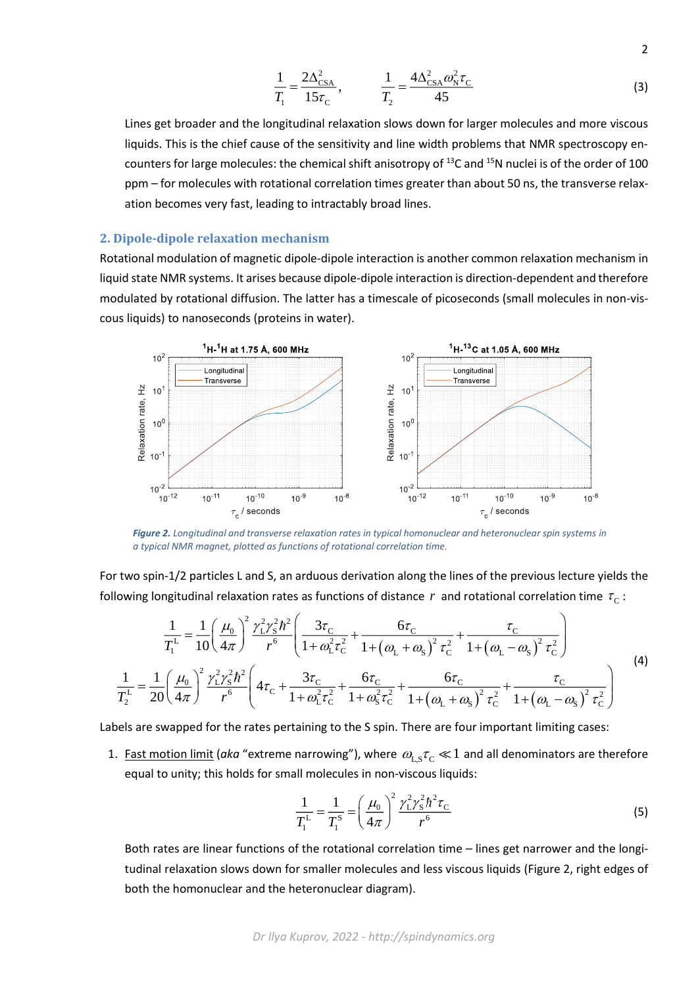$$
\frac{1}{T_1} = \frac{2\Delta_{\text{CSA}}^2}{15\tau_{\text{C}}}, \qquad \frac{1}{T_2} = \frac{4\Delta_{\text{CSA}}^2 \omega_{\text{N}}^2 \tau_{\text{C}}}{45}
$$
(3)

Lines get broader and the longitudinal relaxation slows down for larger molecules and more viscous liquids. This is the chief cause of the sensitivity and line width problems that NMR spectroscopy encounters for large molecules: the chemical shift anisotropy of <sup>13</sup>C and <sup>15</sup>N nuclei is of the order of 100 ppm – for molecules with rotational correlation times greater than about 50 ns, the transverse relaxation becomes very fast, leading to intractably broad lines.

## **2. Dipole-dipole relaxation mechanism**

Rotational modulation of magnetic dipole-dipole interaction is another common relaxation mechanism in liquid state NMR systems. It arises because dipole-dipole interaction is direction-dependent and therefore modulated by rotational diffusion. The latter has a timescale of picoseconds (small molecules in non-viscous liquids) to nanoseconds (proteins in water).



*Figure 2. Longitudinal and transverse relaxation rates in typical homonuclear and heteronuclear spin systems in a typical NMR magnet, plotted as functions of rotational correlation time.*

For two spin-1/2 particles L and S, an arduous derivation along the lines of the previous lecture yields the following longitudinal relaxation rates as functions of distance  $r$  and rotational correlation time  $\tau_{\rm c}$  :

$$
\frac{1}{T_1^L} = \frac{1}{10} \left(\frac{\mu_0}{4\pi}\right)^2 \frac{\gamma_L^2 \gamma_S^2 \hbar^2}{r^6} \left(\frac{3\tau_C}{1 + \omega_L^2 \tau_C^2} + \frac{6\tau_C}{1 + (\omega_L + \omega_S)^2 \tau_C^2} + \frac{\tau_C}{1 + (\omega_L - \omega_S)^2 \tau_C^2}\right)
$$
\n
$$
\frac{1}{T_2^L} = \frac{1}{20} \left(\frac{\mu_0}{4\pi}\right)^2 \frac{\gamma_L^2 \gamma_S^2 \hbar^2}{r^6} \left(4\tau_C + \frac{3\tau_C}{1 + \omega_L^2 \tau_C^2} + \frac{6\tau_C}{1 + \omega_S^2 \tau_C^2} + \frac{6\tau_C}{1 + (\omega_L + \omega_S)^2 \tau_C^2} + \frac{\tau_C}{1 + (\omega_L - \omega_S)^2 \tau_C^2}\right)
$$
\n(4)

Labels are swapped for the rates pertaining to the S spin. There are four important limiting cases:

1. Fast motion limit (aka "extreme narrowing"), where  $\omega_\text{L,S} \tau_\text{C} \ll 1$  and all denominators are therefore equal to unity; this holds for small molecules in non-viscous liquids:

$$
\frac{1}{T_1^L} = \frac{1}{T_1^S} = \left(\frac{\mu_0}{4\pi}\right)^2 \frac{\gamma_L^2 \gamma_S^2 \hbar^2 \tau_C}{r^6}
$$
(5)

Both rates are linear functions of the rotational correlation time – lines get narrower and the longitudinal relaxation slows down for smaller molecules and less viscous liquids (Figure 2, right edges of both the homonuclear and the heteronuclear diagram).

*Dr Ilya Kuprov, 2022 - http://spindynamics.org*